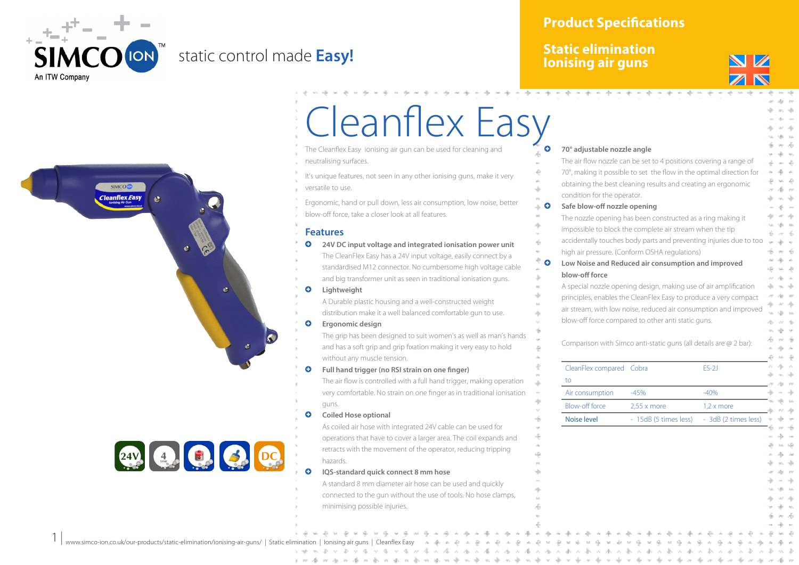

### static control made **Easy!**

#### **Product Specifications**

#### **Static elimination Ionising air guns**



# **SIMCOC Cleanflex Easy** 24V 9 9 9 0

## Cleanflex Easy

- The Cleanflex Easy ionising air gun can be used for cleaning and neutralising surfaces.
- It's unique features, not seen in any other ionising guns, make it very versatile to use.
- Ergonomic, hand or pull down, less air consumption, low noise, better blow-off force, take a closer look at all features.

#### **Features**

- **Q** 24V DC input voltage and integrated ionisation power unit The CleanFlex Easy has a 24V input voltage, easily connect by a standardised M12 connector. No cumbersome high voltage cable and big transformer unit as seen in traditional ionisation guns.
- **Q** Lightweight
	- A Durable plastic housing and a well-constructed weight distribution make it a well balanced comfortable gun to use.
- **Q** Ergonomic design
	- The grip has been designed to suit women's as well as man's hands and has a soft grip and grip fixation making it very easy to hold without any muscle tension.

#### **Q** Full hand trigger (no RSI strain on one finger)

The air flow is controlled with a full hand trigger, making operation very comfortable. No strain on one finger as in traditional ionisation guns.

**Q** Coiled Hose optional

As coiled air hose with integrated 24V cable can be used for operations that have to cover a larger area. The coil expands and retracts with the movement of the operator, reducing tripping hazards.

#### g **IQS-standard quick connect 8 mm hose**

A standard 8 mm diameter air hose can be used and quickly connected to the gun without the use of tools. No hose clamps, minimising possible injuries.

| 70° adjustable nozzle angle<br>The air flow nozzle can be set to 4 positions covering a range of |                                                                                                                        |                      |
|--------------------------------------------------------------------------------------------------|------------------------------------------------------------------------------------------------------------------------|----------------------|
|                                                                                                  | 70°, making it possible to set the flow in the optimal direction for                                                   |                      |
|                                                                                                  | obtaining the best cleaning results and creating an ergonomic                                                          |                      |
| condition for the operator.                                                                      |                                                                                                                        |                      |
| Safe blow-off nozzle opening                                                                     |                                                                                                                        |                      |
|                                                                                                  | The nozzle opening has been constructed as a ring making it                                                            |                      |
|                                                                                                  | impossible to block the complete air stream when the tip                                                               |                      |
|                                                                                                  | accidentally touches body parts and preventing injuries due to too                                                     |                      |
|                                                                                                  | high air pressure. (Conform OSHA regulations)<br>Low Noise and Reduced air consumption and improved                    |                      |
| blow-off force                                                                                   |                                                                                                                        |                      |
|                                                                                                  | A special nozzle opening design, making use of air amplification                                                       |                      |
|                                                                                                  | principles, enables the CleanFlex Easy to produce a very compact                                                       |                      |
|                                                                                                  |                                                                                                                        |                      |
|                                                                                                  |                                                                                                                        |                      |
|                                                                                                  | air stream, with low noise, reduced air consumption and improved<br>blow-off force compared to other anti static guns. |                      |
|                                                                                                  |                                                                                                                        |                      |
|                                                                                                  | Comparison with Simco anti-static guns (all details are @ 2 bar):                                                      |                      |
| CleanFlex compared Cobra                                                                         |                                                                                                                        | $ES-2J$              |
| to                                                                                               |                                                                                                                        |                      |
| Air consumption                                                                                  | $-45%$                                                                                                                 | $-40%$               |
| <b>Blow-off force</b>                                                                            | $2,55 \times$ more                                                                                                     | $1,2 \times$ more    |
| <b>Noise level</b>                                                                               | - 15dB (5 times less)                                                                                                  | - 3dB (2 times less) |
|                                                                                                  |                                                                                                                        |                      |
|                                                                                                  |                                                                                                                        |                      |
|                                                                                                  |                                                                                                                        |                      |
|                                                                                                  |                                                                                                                        |                      |
|                                                                                                  |                                                                                                                        |                      |
|                                                                                                  |                                                                                                                        |                      |
|                                                                                                  |                                                                                                                        |                      |

 $1 |$ www.simco-ion.co.uk/our-products/static-elimination/ionising-air-guns/ | Static elimination